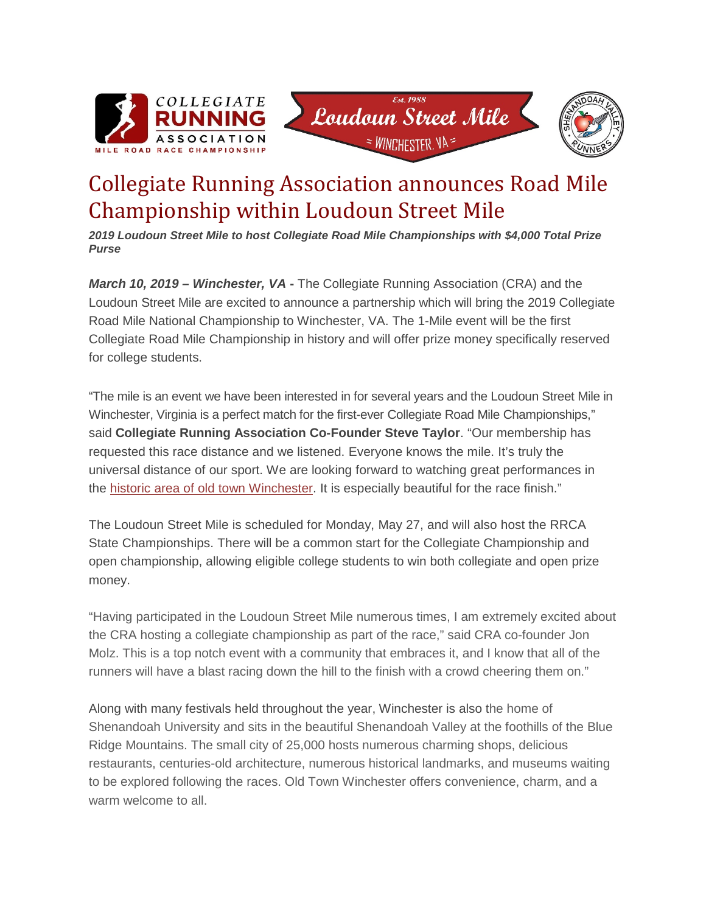





## Collegiate Running Association announces Road Mile Championship within Loudoun Street Mile

*2019 Loudoun Street Mile to host Collegiate Road Mile Championships with \$4,000 Total Prize Purse*

*March 10, 2019 – Winchester, VA* **-** The Collegiate Running Association (CRA) and the Loudoun Street Mile are excited to announce a partnership which will bring the 2019 Collegiate Road Mile National Championship to Winchester, VA. The 1-Mile event will be the first Collegiate Road Mile Championship in history and will offer prize money specifically reserved for college students.

"The mile is an event we have been interested in for several years and the Loudoun Street Mile in Winchester, Virginia is a perfect match for the first-ever Collegiate Road Mile Championships," said **Collegiate Running Association Co-Founder Steve Taylor**. "Our membership has requested this race distance and we listened. Everyone knows the mile. It's truly the universal distance of our sport. We are looking forward to watching great performances in the [historic area of old town](https://youtu.be/X6YBIcu8NuI) Winchester. It is especially beautiful for the race finish."

The Loudoun Street Mile is scheduled for Monday, May 27, and will also host the RRCA State Championships. There will be a common start for the Collegiate Championship and open championship, allowing eligible college students to win both collegiate and open prize money.

"Having participated in the Loudoun Street Mile numerous times, I am extremely excited about the CRA hosting a collegiate championship as part of the race," said CRA co-founder Jon Molz. This is a top notch event with a community that embraces it, and I know that all of the runners will have a blast racing down the hill to the finish with a crowd cheering them on."

Along with many festivals held throughout the year, Winchester is also the home of Shenandoah University and sits in the beautiful Shenandoah Valley at the foothills of the Blue Ridge Mountains. The small city of 25,000 hosts numerous charming shops, delicious restaurants, centuries-old architecture, numerous historical landmarks, and museums waiting to be explored following the races. Old Town Winchester offers convenience, charm, and a warm welcome to all.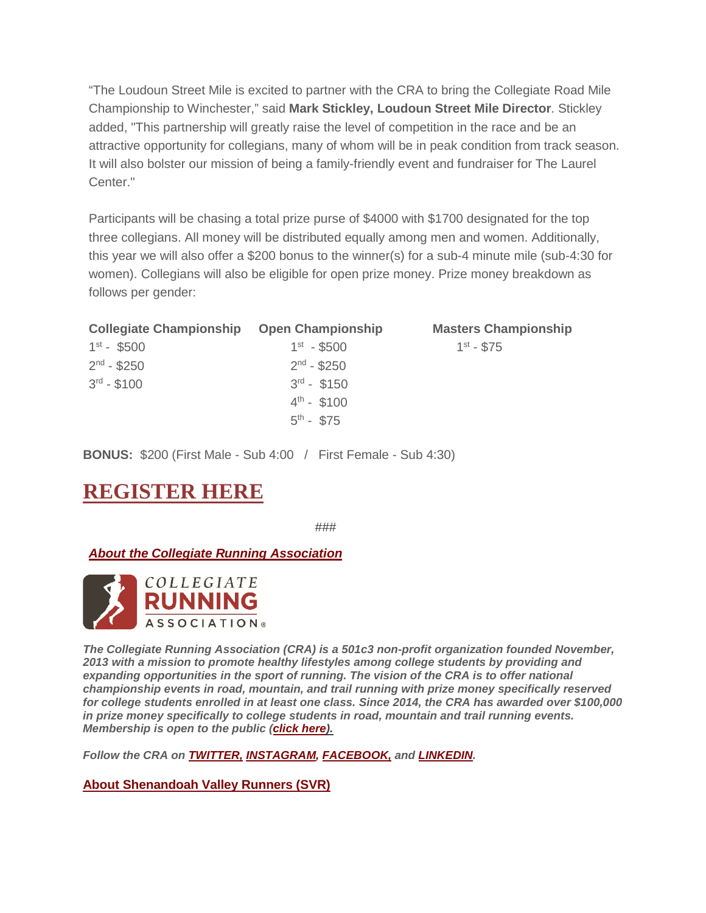"The Loudoun Street Mile is excited to partner with the CRA to bring the Collegiate Road Mile Championship to Winchester," said **Mark Stickley, Loudoun Street Mile Director**. Stickley added, "This partnership will greatly raise the level of competition in the race and be an attractive opportunity for collegians, many of whom will be in peak condition from track season. It will also bolster our mission of being a family-friendly event and fundraiser for The Laurel Center."

Participants will be chasing a total prize purse of \$4000 with \$1700 designated for the top three collegians. All money will be distributed equally among men and women. Additionally, this year we will also offer a \$200 bonus to the winner(s) for a sub-4 minute mile (sub-4:30 for women). Collegians will also be eligible for open prize money. Prize money breakdown as follows per gender:

| <b>Collegiate Championship</b> | <b>Open Championship</b> | <b>Masters Championship</b> |
|--------------------------------|--------------------------|-----------------------------|
| $1^{st}$ - \$500               | $1^{st} - $500$          | $1^{st} - $75$              |
| $2^{nd}$ - \$250               | $2nd - $250$             |                             |
| $3^{rd} - $100$                | $3^{rd}$ - \$150         |                             |
|                                | $4^{th}$ - \$100         |                             |
|                                | $5^{th}$ - \$75          |                             |

**BONUS:** \$200 (First Male - Sub 4:00 / First Female - Sub 4:30)

## **[REGISTER HERE](https://runsignup.com/Race/VA/Winchester/2015LoudounStreetMile)**

###

*About the Collegiate Running Association*



*The Collegiate Running Association (CRA) is a 501c3 non-profit organization founded November, 2013 with a mission to promote healthy lifestyles among college students by providing and expanding opportunities in the sport of running. The vision of the CRA is to offer national championship events in road, mountain, and trail running with prize money specifically reserved for college students enrolled in at least one class. Since 2014, the CRA has awarded over \$100,000 in prize money specifically to college students in road, mountain and trail running events. Membership is open to the public (click [here\).](https://www.collegiaterunning.org/%23!become-a-member/c23nm)*

*Follow the CRA on [TWITTER,](http://www.twitter.com/collegerunning) [INSTAGRAM,](http://instagram.com/collegiaterunning) [FACEBOOK,](https://www.facebook.com/pages/Collegiate-Running-Association/256599074475996) and [LINKEDIN.](https://www.linkedin.com/company/collegiate-running-association?trk=ppro_cprof)*

**About Shenandoah Valley Runners (SVR)**